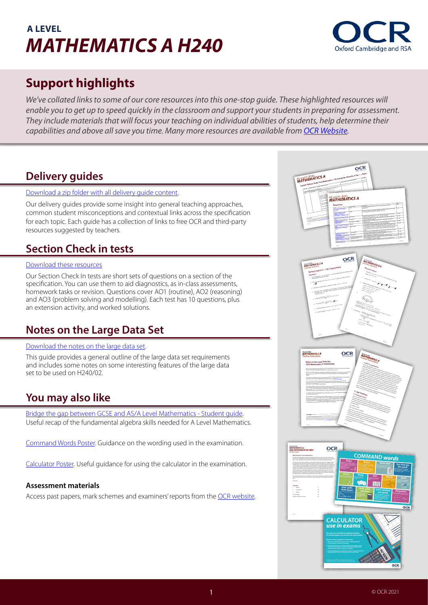# **A LEVEL**  *MATHEMATICS A H240*



# **Support highlights**

We've collated links to some of our core resources into this one-stop quide. These highlighted resources will *enable you to get up to speed quickly in the classroom and support your students in preparing for assessment. They include materials that will focus your teaching on individual abilities of students, help determine their capabilities and above all save you time. Many more resources are available from [OCR Website](http://www.ocr.org.uk/alevelmathematics).*

# **Delivery guides**

### [Download a zip folder with all delivery guide content.](http://www.ocr.org.uk/images/578450-complete-pack-of-h230-h240-delivery-guides.zip)

Our delivery guides provide some insight into general teaching approaches, common student misconceptions and contextual links across the specification for each topic. Each guide has a collection of links to free OCR and third-party resources suggested by teachers.

# **Section Check in tests**

### [Download these resources](https://www.ocr.org.uk/Images/578439-complete-pack-of-h240-section-check-ins.zip)

Our Section Check In tests are short sets of questions on a section of the specification. You can use them to aid diagnostics, as in-class assessments, homework tasks or revision. Questions cover AO1 (routine), AO2 (reasoning) and AO3 (problem solving and modelling). Each test has 10 questions, plus an extension activity, and worked solutions.

### **Notes on the Large Data Set**

### [Download the notes on the large data set.](https://www.ocr.org.uk/images/471937-notes-on-the-large-data-set.docx)

This guide provides a general outline of the large data set requirements and includes some notes on some interesting features of the large data set to be used on H240/02.

## **You may also like**

[Bridge the gap between GCSE and AS/A Level Mathematics - Student guide](https://www.ocr.org.uk/Images/373371-bridging-the-gap-between-gcse-and-as-a-level-mathematics-a-student-guide.docx). Useful recap of the fundamental algebra skills needed for A Level Mathematics.

[Command Words Poster](https://www.ocr.org.uk/Images/533967-a-level-maths-command-words-poster-a4-size.pdf). Guidance on the wording used in the examination.

[Calculator Poster](https://www.ocr.org.uk/Images/533969-maths-calculator-use-poster-a4-size.pdf). Useful guidance for using the calculator in the examination.

### **Assessment materials**

Access past papers, mark schemes and examiners' reports from the [OCR website](https://www.ocr.org.uk/qualifications/as-and-a-level/mathematics-a-h230-h240-from-2017/assessment/).

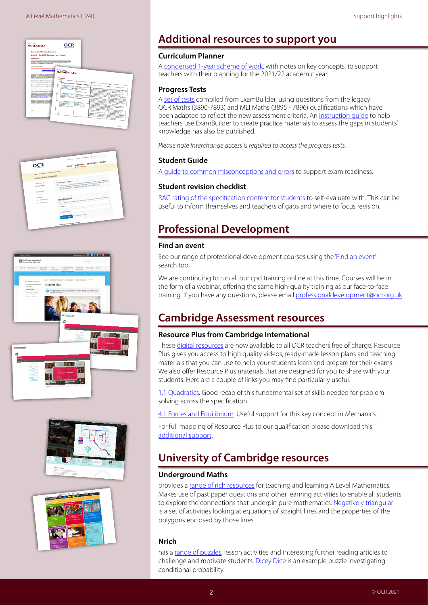









# **Additional resources to support you**

### **Curriculum Planner**

A [condensed 1-year scheme of work,](https://www.ocr.org.uk/Images/586963-model-3-curriculum-planner.docx) with notes on key concepts, to support teachers with their planning for the 2021/22 academic year.

### **Progress Tests**

A [set of tests](https://interchange.ocr.org.uk/Downloads/H240_Progress_Tests.zip) compiled from ExamBuilder, using questions from the legacy OCR Maths (3890-7893) and MEI Maths (3895 - 7896) qualifications which have been adapted to reflect the new assessment criteria. An instruction quide to help teachers use ExamBuilder to create practice materials to assess the gaps in students' knowledge has also be published.

*Please note Interchange access is required to access the progress tests.* 

### **Student Guide**

A [guide to common misconceptions and errors](https://www.ocr.org.uk/Images/596258-exam-hints-for-students.pdf) to support exam readiness.

### **Student revision checklist**

[RAG rating of the specification content for students](https://www.ocr.org.uk/Images/594929-student-revision-checklist.docx) to self-evaluate with. This can be useful to inform themselves and teachers of gaps and where to focus revision.

# **Professional Development**

### **Find an event**

See our range of professional development courses using the '[Find an event'](https://www.ocr.org.uk/qualifications/professional-development/) search tool.

We are continuing to run all our cpd training online at this time. Courses will be in the form of a webinar, offering the same high-quality training as our face-to-face training. If you have any questions, please email [professionaldevelopment@ocr.org.uk](mailto:professionaldevelopment%40ocr.org.uk?subject=CPD%20training%20online%20)

# **Cambridge Assessment resources**

### **Resource Plus from Cambridge International**

These [digital resources](https://www.cambridgeinternational.org/support-and-training-for-schools/support-for-teachers/teaching-and-assessment/resource-plus/) are now available to all OCR teachers free of charge. Resource Plus gives you access to high quality videos, ready-made lesson plans and teaching materials that you can use to help your students learn and prepare for their exams. We also offer Resource Plus materials that are designed for you to share with your students. Here are a couple of links you may find particularly useful.

[1.1 Quadratics.](https://ocr.org.uk/rpamath1) Good recap of this fundamental set of skills needed for problem solving across the specification.

[4.1 Forces and Equilibrium](https://ocr.org.uk/rpamath2). Useful support for this key concept in Mechanics.

For full mapping of Resource Plus to our qualification please download this [additional support](https://www.ocr.org.uk/Images/586969-cambridge-international-resource-plus-mapping.pdf).

# **University of Cambridge resources**

### **[Underground Maths](https://undergroundmathematics.org/)**

provides a [range of rich resources](https://undergroundmathematics.org/) for teaching and learning A Level Mathematics. Makes use of past paper questions and other learning activities to enable all students to explore the connections that underpin pure mathematics. [Negatively triangular](https://undergroundmathematics.org/geometry-of-equations/negatively-triangular) is a set of activities looking at equations of straight lines and the properties of the polygons enclosed by those lines.

### **[Nrich](https://nrich.maths.org/)**

has a [range of puzzles,](https://nrich.maths.org/) lesson activities and interesting further reading articles to challenge and motivate students. [Dicey Dice](https://nrich.maths.org/6953) is an example puzzle investigating conditional probability.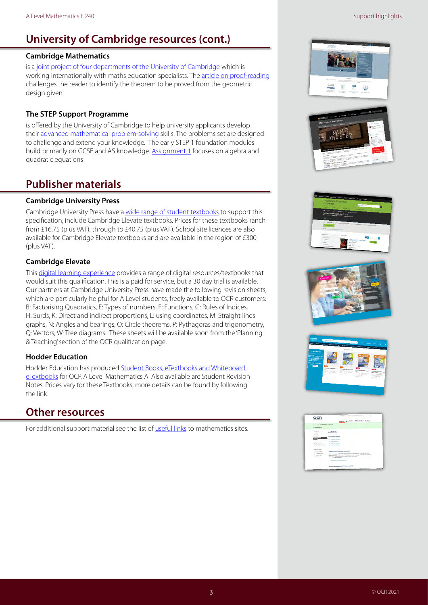# **University of Cambridge resources (cont.)**

### **[Cambridge Mathematics](https://www.cambridgemaths.org/)**

is a [joint project of four departments of the University of Cambridge](https://www.cambridgemaths.org/) which is working internationally with maths education specialists. The [article on proof-reading](https://www.cambridgemaths.org/blogs/proof-reading/) challenges the reader to identify the theorem to be proved from the geometric design given.

### **The [STEP Support Programme](https://maths.org/step/)**

is offered by the University of Cambridge to help university applicants develop their [advanced mathematical problem-solving](https://maths.org/step/) skills. The problems set are designed to challenge and extend your knowledge. The early STEP 1 foundation modules build primarily on GCSE and AS knowledge. **Assignment 1** focuses on algebra and quadratic equations

# **Publisher materials**

### **Cambridge University Press**

Cambridge University Press have a [wide range of student textbooks](https://www.cambridge.org/gb/education/subject/mathematics/a-level-mathematics-ocr-a) to support this specification, include Cambridge Elevate textbooks. Prices for these textbooks ranch from £16.75 (plus VAT), through to £40.75 (plus VAT). School site licences are also available for Cambridge Elevate textbooks and are available in the region of £300 (plus VAT).

### **Cambridge Elevate**

This [digital learning experience](https://elevate.cambridge.org/elevate/Login.aspx#b) provides a range of digital resources/textbooks that would suit this qualification. This is a paid for service, but a 30 day trial is available. Our partners at Cambridge University Press have made the following revision sheets, which are particularly helpful for A Level students, freely available to OCR customers: B: Factorising Quadratics, E: Types of numbers, F: Functions, G: Rules of Indices, H: Surds, K: Direct and indirect proportions, L: using coordinates, M: Straight lines graphs, N: Angles and bearings, O: Circle theorems, P: Pythagoras and trigonometry, Q: Vectors, W: Tree diagrams. These sheets will be available soon from the 'Planning & Teaching' section of the OCR qualification page.

### **Hodder Education**

Hodder Education has produced [Student Books, eTextbooks](https://www.hoddereducation.co.uk/mathematics?eb=68&l=162&se=1604) and [Whiteboard](https://www.hoddereducation.co.uk/mathematics?eb=68&l=162&se=1604)  [eTextbooks](https://www.hoddereducation.co.uk/mathematics?eb=68&l=162&se=1604) for OCR A Level Mathematics A. Also available are Student Revision Notes. Prices vary for these Textbooks, more details can be found by following the link.

## **Other resources**

For additional support material see the list of *useful links* to mathematics sites.









| <b>OCR</b>                                | Contras a climat constant of their                                                                                                                                                                                                                                                             |
|-------------------------------------------|------------------------------------------------------------------------------------------------------------------------------------------------------------------------------------------------------------------------------------------------------------------------------------------------|
|                                           | Algoria - Qualifications - Administrator - Modeste -                                                                                                                                                                                                                                           |
| more clusters characters condition.       |                                                                                                                                                                                                                                                                                                |
| Mathematics                               |                                                                                                                                                                                                                                                                                                |
| <b>Subject only</b><br><b>South River</b> | <b>Useful links</b>                                                                                                                                                                                                                                                                            |
| <b><i>CAR BOON</i></b>                    | to kundener without.                                                                                                                                                                                                                                                                           |
| <b>MILLER</b>                             | 1. George competition<br><b>COMMERCIAL</b>                                                                                                                                                                                                                                                     |
| The car for an address                    | 1 Subscription of                                                                                                                                                                                                                                                                              |
| <b>Rockey and Southerness 11</b>          | of the company's first the                                                                                                                                                                                                                                                                     |
| Looked By Andrew                          |                                                                                                                                                                                                                                                                                                |
| a long-stop                               | Audiomatics in Museum and reduces 1962                                                                                                                                                                                                                                                         |
| To handbook of<br>or teach same           | This is produced by the partical determination and reductions, charitages at 1940.<br>and absorbing of a free is list animally interesting visions to be between<br>Exhibits have an accord top of salary. The MT cancel any the profit modern are salary<br>the man front and with the motion |
|                                           | 1 Subscription of the detection of the first                                                                                                                                                                                                                                                   |
|                                           | and a company of the company of the<br>Monroel Kallenberg Tragged Programme (BFD)                                                                                                                                                                                                              |
|                                           | The Advance Countries of Language Company is a province company of the American St.                                                                                                                                                                                                            |